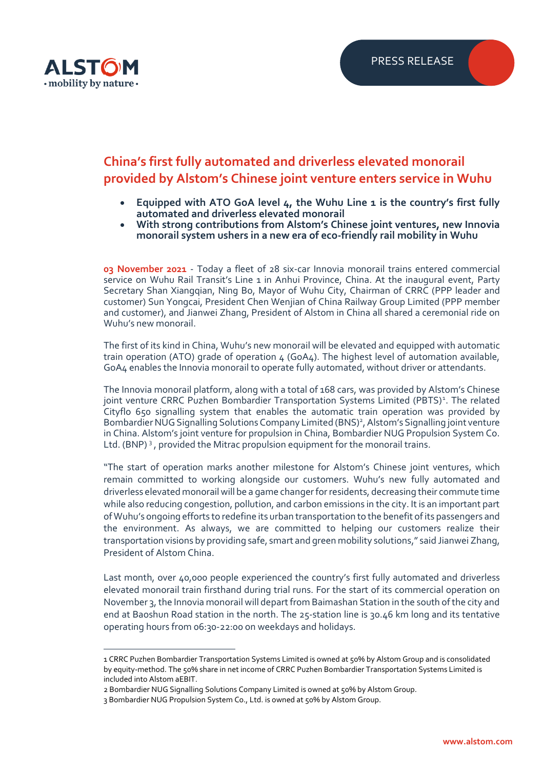

## **China's first fully automated and driverless elevated monorail provided by Alstom's Chinese joint venture enters service in Wuhu**

- **Equipped with ATO GoA level 4, the Wuhu Line 1 is the country's first fully automated and driverless elevated monorail**
- **With strong contributions from Alstom's Chinese joint ventures, new Innovia monorail system ushers in a new era of eco-friendly rail mobility in Wuhu**

**03 November 2021** - Today a fleet of 28 six-car Innovia monorail trains entered commercial service on Wuhu Rail Transit's Line 1 in Anhui Province, China. At the inaugural event, Party Secretary Shan Xiangqian, Ning Bo, Mayor of Wuhu City, Chairman of CRRC (PPP leader and customer) Sun Yongcai, President Chen Wenjian of China Railway Group Limited (PPP member and customer), and Jianwei Zhang, President of Alstom in China all shared a ceremonial ride on Wuhu's new monorail.

The first of its kind in China, Wuhu's new monorail will be elevated and equipped with automatic train operation (ATO) grade of operation  $4$  (GoA $4$ ). The highest level of automation available, GoA4 enables the Innovia monorail to operate fully automated, without driver or attendants.

The Innovia monorail platform, along with a total of 168 cars, was provided by Alstom's Chinese joint venture CRRC Puzhen Bombardier Transportation Systems Limited (PBTS)<sup>1</sup>. The related Cityflo 650 signalling system that enables the automatic train operation was provided by Bombardier NUG Signalling Solutions Company Limited (BNS)<sup>2</sup>, Alstom's Signalling joint venture in China. Alstom's joint venture for propulsion in China, Bombardier NUG Propulsion System Co. Ltd. (BNP)<sup>3</sup>, provided the Mitrac propulsion equipment for the monorail trains.

"The start of operation marks another milestone for Alstom's Chinese joint ventures, which remain committed to working alongside our customers. Wuhu's new fully automated and driverless elevated monorail will be a game changer for residents, decreasing their commute time while also reducing congestion, pollution, and carbon emissions in the city. It is an important part of Wuhu's ongoing efforts to redefine its urban transportation to the benefit of its passengers and the environment. As always, we are committed to helping our customers realize their transportation visions by providing safe, smart and green mobility solutions," said Jianwei Zhang, President of Alstom China.

Last month, over 40,000 people experienced the country's first fully automated and driverless elevated monorail train firsthand during trial runs. For the start of its commercial operation on November 3, the Innovia monorail will depart from Baimashan Station in the south of the city and end at Baoshun Road station in the north. The 25-station line is 30.46 km long and its tentative operating hours from 06:30-22:00 on weekdays and holidays.

<sup>1</sup> CRRC Puzhen Bombardier Transportation Systems Limited is owned at 50% by Alstom Group and is consolidated by equity-method. The 50% share in net income of CRRC Puzhen Bombardier Transportation Systems Limited is included into Alstom aEBIT.

<sup>2</sup> Bombardier NUG Signalling Solutions Company Limited is owned at 50% by Alstom Group.

<sup>3</sup> Bombardier NUG Propulsion System Co., Ltd. is owned at 50% by Alstom Group.